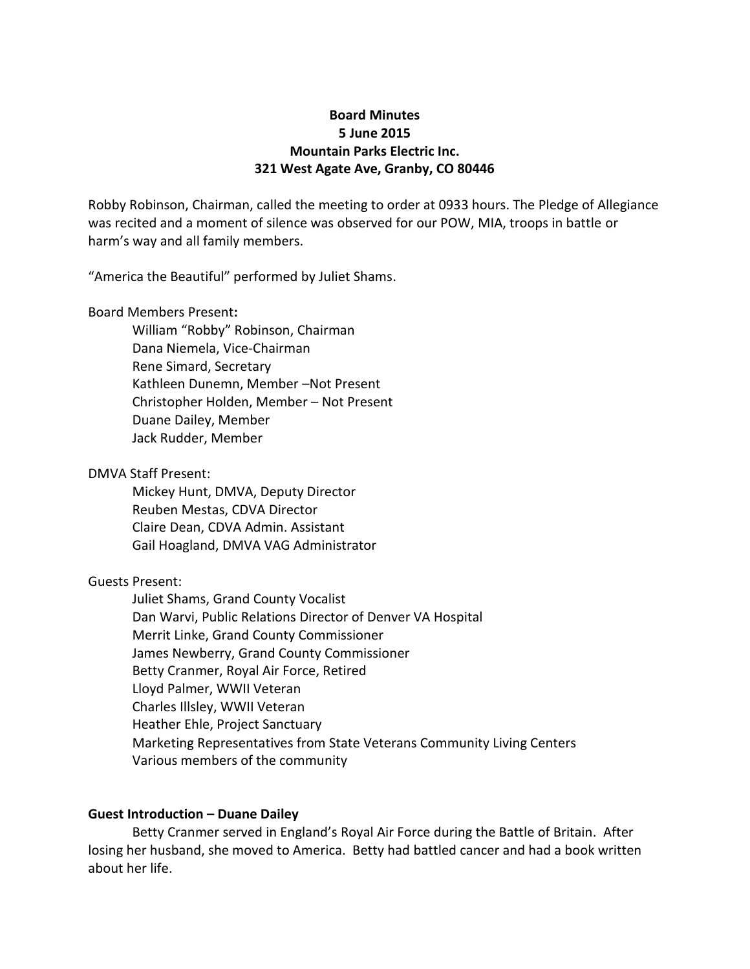## **Board Minutes 5 June 2015 Mountain Parks Electric Inc. 321 West Agate Ave, Granby, CO 80446**

Robby Robinson, Chairman, called the meeting to order at 0933 hours. The Pledge of Allegiance was recited and a moment of silence was observed for our POW, MIA, troops in battle or harm's way and all family members.

"America the Beautiful" performed by Juliet Shams.

Board Members Present**:**

William "Robby" Robinson, Chairman Dana Niemela, Vice-Chairman Rene Simard, Secretary Kathleen Dunemn, Member –Not Present Christopher Holden, Member – Not Present Duane Dailey, Member Jack Rudder, Member

DMVA Staff Present:

Mickey Hunt, DMVA, Deputy Director Reuben Mestas, CDVA Director Claire Dean, CDVA Admin. Assistant Gail Hoagland, DMVA VAG Administrator

### Guests Present:

Juliet Shams, Grand County Vocalist Dan Warvi, Public Relations Director of Denver VA Hospital Merrit Linke, Grand County Commissioner James Newberry, Grand County Commissioner Betty Cranmer, Royal Air Force, Retired Lloyd Palmer, WWII Veteran Charles Illsley, WWII Veteran Heather Ehle, Project Sanctuary Marketing Representatives from State Veterans Community Living Centers Various members of the community

#### **Guest Introduction – Duane Dailey**

Betty Cranmer served in England's Royal Air Force during the Battle of Britain. After losing her husband, she moved to America. Betty had battled cancer and had a book written about her life.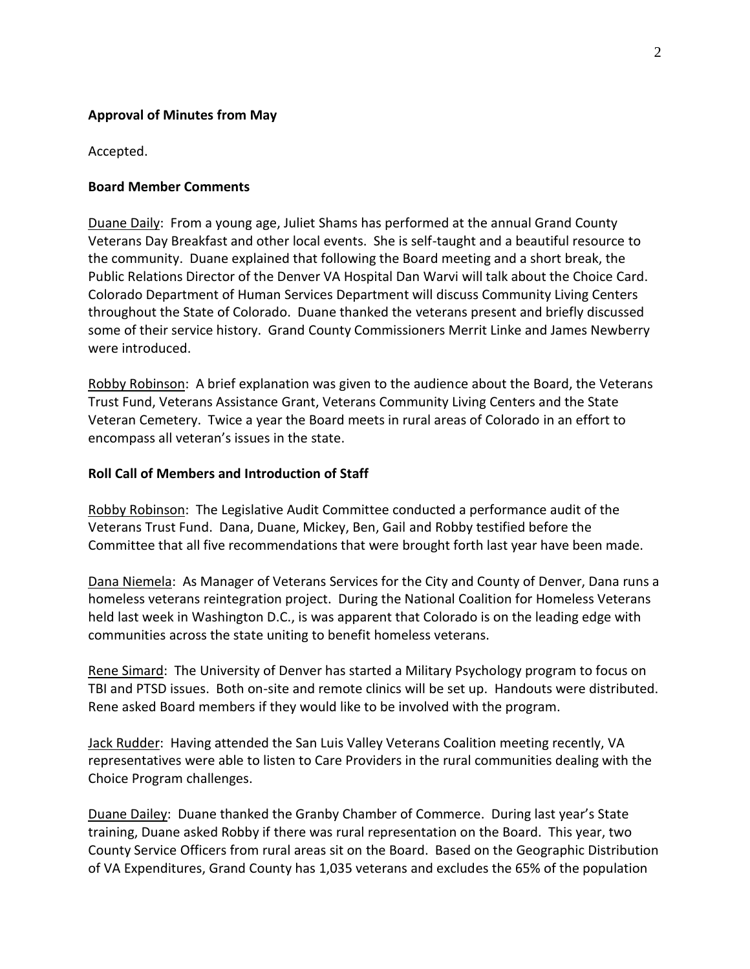## **Approval of Minutes from May**

Accepted.

### **Board Member Comments**

Duane Daily: From a young age, Juliet Shams has performed at the annual Grand County Veterans Day Breakfast and other local events. She is self-taught and a beautiful resource to the community. Duane explained that following the Board meeting and a short break, the Public Relations Director of the Denver VA Hospital Dan Warvi will talk about the Choice Card. Colorado Department of Human Services Department will discuss Community Living Centers throughout the State of Colorado. Duane thanked the veterans present and briefly discussed some of their service history. Grand County Commissioners Merrit Linke and James Newberry were introduced.

Robby Robinson: A brief explanation was given to the audience about the Board, the Veterans Trust Fund, Veterans Assistance Grant, Veterans Community Living Centers and the State Veteran Cemetery. Twice a year the Board meets in rural areas of Colorado in an effort to encompass all veteran's issues in the state.

### **Roll Call of Members and Introduction of Staff**

Robby Robinson: The Legislative Audit Committee conducted a performance audit of the Veterans Trust Fund. Dana, Duane, Mickey, Ben, Gail and Robby testified before the Committee that all five recommendations that were brought forth last year have been made.

Dana Niemela: As Manager of Veterans Services for the City and County of Denver, Dana runs a homeless veterans reintegration project. During the National Coalition for Homeless Veterans held last week in Washington D.C., is was apparent that Colorado is on the leading edge with communities across the state uniting to benefit homeless veterans.

Rene Simard: The University of Denver has started a Military Psychology program to focus on TBI and PTSD issues. Both on-site and remote clinics will be set up. Handouts were distributed. Rene asked Board members if they would like to be involved with the program.

Jack Rudder: Having attended the San Luis Valley Veterans Coalition meeting recently, VA representatives were able to listen to Care Providers in the rural communities dealing with the Choice Program challenges.

Duane Dailey: Duane thanked the Granby Chamber of Commerce. During last year's State training, Duane asked Robby if there was rural representation on the Board. This year, two County Service Officers from rural areas sit on the Board. Based on the Geographic Distribution of VA Expenditures, Grand County has 1,035 veterans and excludes the 65% of the population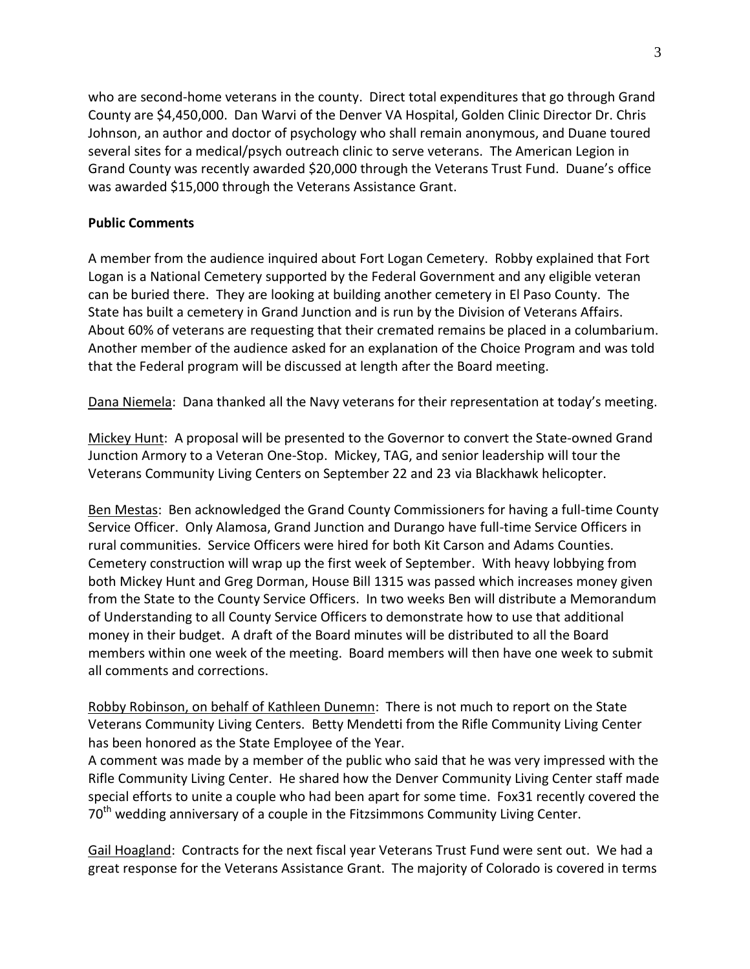who are second-home veterans in the county. Direct total expenditures that go through Grand County are \$4,450,000. Dan Warvi of the Denver VA Hospital, Golden Clinic Director Dr. Chris Johnson, an author and doctor of psychology who shall remain anonymous, and Duane toured several sites for a medical/psych outreach clinic to serve veterans. The American Legion in Grand County was recently awarded \$20,000 through the Veterans Trust Fund. Duane's office was awarded \$15,000 through the Veterans Assistance Grant.

### **Public Comments**

A member from the audience inquired about Fort Logan Cemetery. Robby explained that Fort Logan is a National Cemetery supported by the Federal Government and any eligible veteran can be buried there. They are looking at building another cemetery in El Paso County. The State has built a cemetery in Grand Junction and is run by the Division of Veterans Affairs. About 60% of veterans are requesting that their cremated remains be placed in a columbarium. Another member of the audience asked for an explanation of the Choice Program and was told that the Federal program will be discussed at length after the Board meeting.

Dana Niemela: Dana thanked all the Navy veterans for their representation at today's meeting.

Mickey Hunt: A proposal will be presented to the Governor to convert the State-owned Grand Junction Armory to a Veteran One-Stop. Mickey, TAG, and senior leadership will tour the Veterans Community Living Centers on September 22 and 23 via Blackhawk helicopter.

Ben Mestas: Ben acknowledged the Grand County Commissioners for having a full-time County Service Officer. Only Alamosa, Grand Junction and Durango have full-time Service Officers in rural communities. Service Officers were hired for both Kit Carson and Adams Counties. Cemetery construction will wrap up the first week of September. With heavy lobbying from both Mickey Hunt and Greg Dorman, House Bill 1315 was passed which increases money given from the State to the County Service Officers. In two weeks Ben will distribute a Memorandum of Understanding to all County Service Officers to demonstrate how to use that additional money in their budget. A draft of the Board minutes will be distributed to all the Board members within one week of the meeting. Board members will then have one week to submit all comments and corrections.

Robby Robinson, on behalf of Kathleen Dunemn: There is not much to report on the State Veterans Community Living Centers. Betty Mendetti from the Rifle Community Living Center has been honored as the State Employee of the Year.

A comment was made by a member of the public who said that he was very impressed with the Rifle Community Living Center. He shared how the Denver Community Living Center staff made special efforts to unite a couple who had been apart for some time. Fox31 recently covered the 70<sup>th</sup> wedding anniversary of a couple in the Fitzsimmons Community Living Center.

Gail Hoagland: Contracts for the next fiscal year Veterans Trust Fund were sent out. We had a great response for the Veterans Assistance Grant. The majority of Colorado is covered in terms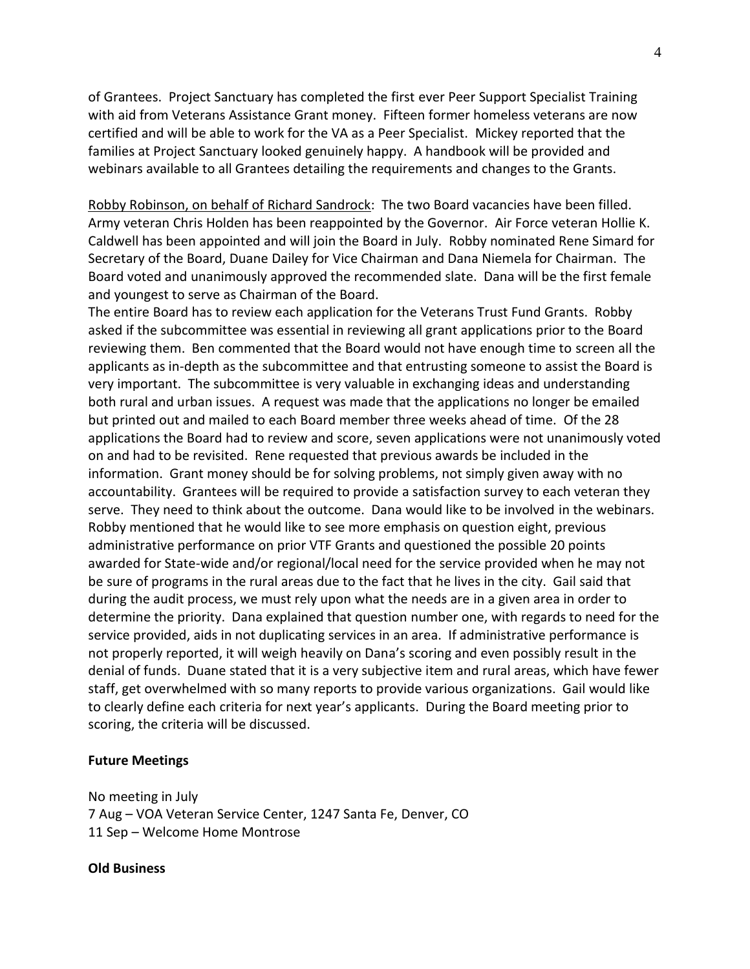of Grantees. Project Sanctuary has completed the first ever Peer Support Specialist Training with aid from Veterans Assistance Grant money. Fifteen former homeless veterans are now certified and will be able to work for the VA as a Peer Specialist. Mickey reported that the families at Project Sanctuary looked genuinely happy. A handbook will be provided and webinars available to all Grantees detailing the requirements and changes to the Grants.

Robby Robinson, on behalf of Richard Sandrock: The two Board vacancies have been filled. Army veteran Chris Holden has been reappointed by the Governor. Air Force veteran Hollie K. Caldwell has been appointed and will join the Board in July. Robby nominated Rene Simard for Secretary of the Board, Duane Dailey for Vice Chairman and Dana Niemela for Chairman. The Board voted and unanimously approved the recommended slate. Dana will be the first female and youngest to serve as Chairman of the Board.

The entire Board has to review each application for the Veterans Trust Fund Grants. Robby asked if the subcommittee was essential in reviewing all grant applications prior to the Board reviewing them. Ben commented that the Board would not have enough time to screen all the applicants as in-depth as the subcommittee and that entrusting someone to assist the Board is very important. The subcommittee is very valuable in exchanging ideas and understanding both rural and urban issues. A request was made that the applications no longer be emailed but printed out and mailed to each Board member three weeks ahead of time. Of the 28 applications the Board had to review and score, seven applications were not unanimously voted on and had to be revisited. Rene requested that previous awards be included in the information. Grant money should be for solving problems, not simply given away with no accountability. Grantees will be required to provide a satisfaction survey to each veteran they serve. They need to think about the outcome. Dana would like to be involved in the webinars. Robby mentioned that he would like to see more emphasis on question eight, previous administrative performance on prior VTF Grants and questioned the possible 20 points awarded for State-wide and/or regional/local need for the service provided when he may not be sure of programs in the rural areas due to the fact that he lives in the city. Gail said that during the audit process, we must rely upon what the needs are in a given area in order to determine the priority. Dana explained that question number one, with regards to need for the service provided, aids in not duplicating services in an area. If administrative performance is not properly reported, it will weigh heavily on Dana's scoring and even possibly result in the denial of funds. Duane stated that it is a very subjective item and rural areas, which have fewer staff, get overwhelmed with so many reports to provide various organizations. Gail would like to clearly define each criteria for next year's applicants. During the Board meeting prior to scoring, the criteria will be discussed.

#### **Future Meetings**

No meeting in July 7 Aug – VOA Veteran Service Center, 1247 Santa Fe, Denver, CO 11 Sep – Welcome Home Montrose

**Old Business**